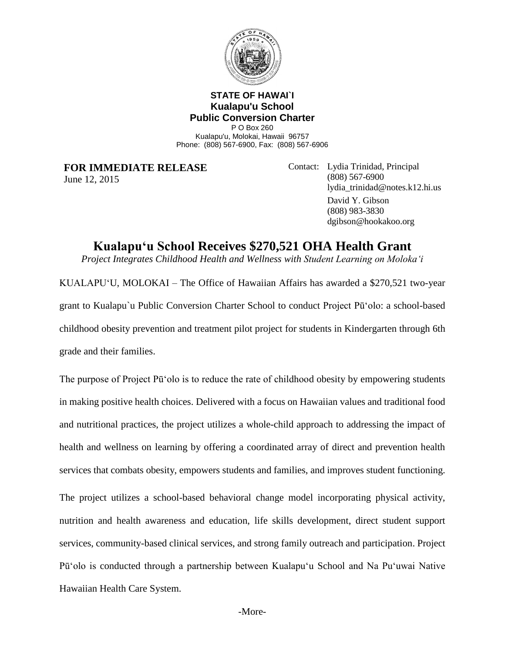

## **STATE OF HAWAI`I Kualapu'u School Public Conversion Charter**

P O Box 260 Kualapu'u, Molokai, Hawaii 96757 Phone: (808) 567-6900, Fax: (808) 567-6906

**FOR IMMEDIATE RELEASE** June 12, 2015

Contact: Lydia Trinidad, Principal (808) 567-6900 lydia\_trinidad@notes.k12.hi.us David Y. Gibson (808) 983-3830 dgibson@hookakoo.org

# **Kualapu'u School Receives \$270,521 OHA Health Grant**

*Project Integrates Childhood Health and Wellness with Student Learning on Moloka'i* 

KUALAPU'U, MOLOKAI – The Office of Hawaiian Affairs has awarded a \$270,521 two-year grant to Kualapu`u Public Conversion Charter School to conduct Project Pū'olo: a school-based childhood obesity prevention and treatment pilot project for students in Kindergarten through 6th grade and their families.

The purpose of Project Pū'olo is to reduce the rate of childhood obesity by empowering students in making positive health choices. Delivered with a focus on Hawaiian values and traditional food and nutritional practices, the project utilizes a whole-child approach to addressing the impact of health and wellness on learning by offering a coordinated array of direct and prevention health services that combats obesity, empowers students and families, and improves student functioning.

The project utilizes a school-based behavioral change model incorporating physical activity, nutrition and health awareness and education, life skills development, direct student support services, community-based clinical services, and strong family outreach and participation. Project Pū'olo is conducted through a partnership between Kualapu'u School and Na Pu'uwai Native Hawaiian Health Care System.